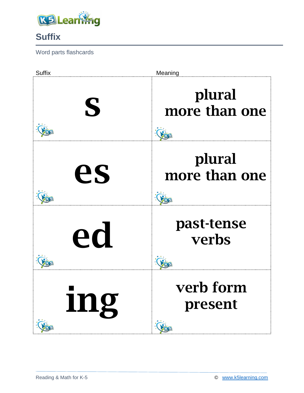

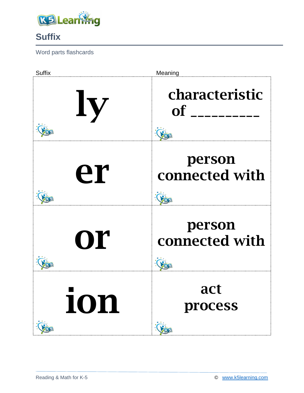

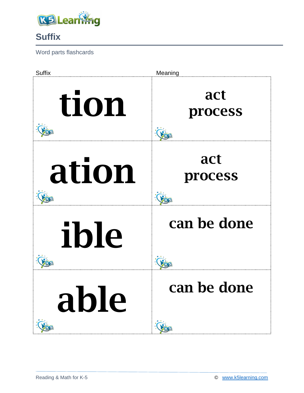

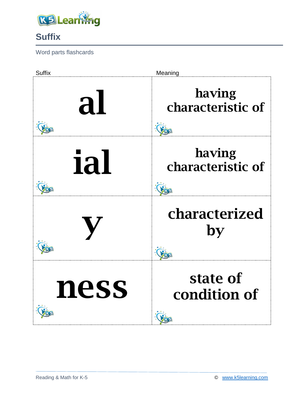

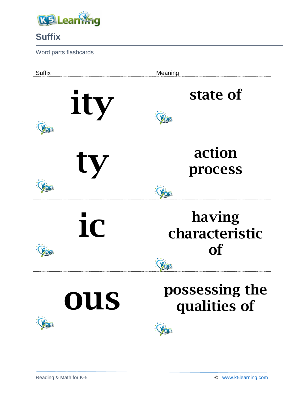

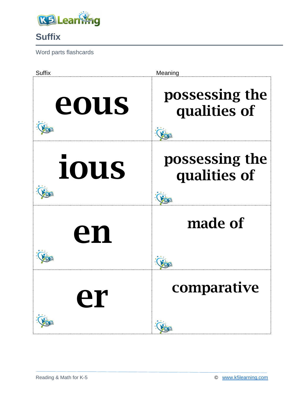

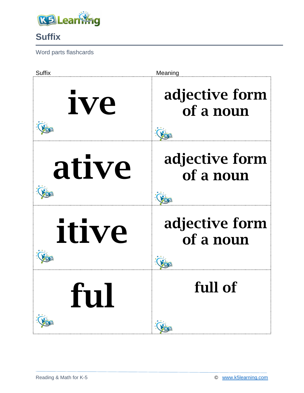